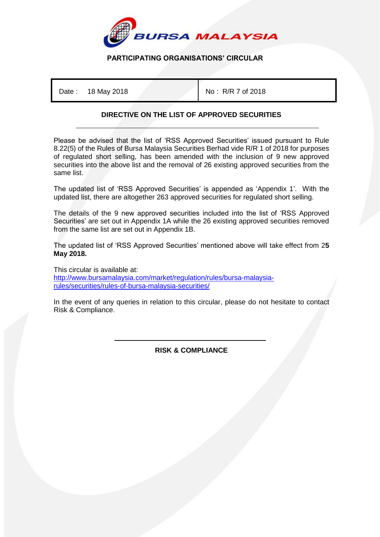

## **PARTICIPATING ORGANISATIONS' CIRCULAR**

Date: 18 May 2018 **No. 2018** No: R/R 7 of 2018

## **DIRECTIVE ON THE LIST OF APPROVED SECURITIES**

Please be advised that the list of 'RSS Approved Securities' issued pursuant to Rule 8.22(5) of the Rules of Bursa Malaysia Securities Berhad vide R/R 1 of 2018 for purposes of regulated short selling, has been amended with the inclusion of 9 new approved securities into the above list and the removal of 26 existing approved securities from the same list.

The updated list of 'RSS Approved Securities' is appended as 'Appendix 1'. With the updated list, there are altogether 263 approved securities for regulated short selling.

The details of the 9 new approved securities included into the list of 'RSS Approved Securities' are set out in Appendix 1A while the 26 existing approved securities removed from the same list are set out in Appendix 1B.

The updated list of 'RSS Approved Securities' mentioned above will take effect from 2**5 May 2018.**

This circular is available at: [http://www.bursamalaysia.com/market/regulation/rules/bursa-malaysia](http://www.bursamalaysia.com/market/regulation/rules/bursa-malaysia-rules/securities/rules-of-bursa-malaysia-securities/)[rules/securities/rules-of-bursa-malaysia-securities/](http://www.bursamalaysia.com/market/regulation/rules/bursa-malaysia-rules/securities/rules-of-bursa-malaysia-securities/)

In the event of any queries in relation to this circular, please do not hesitate to contact Risk & Compliance.

> İ **RISK & COMPLIANCE**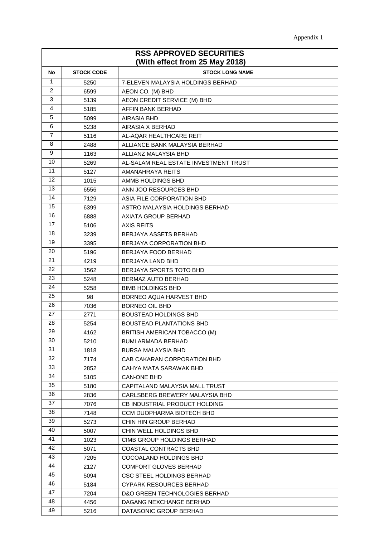| <b>RSS APPROVED SECURITIES</b><br>(With effect from 25 May 2018) |                   |                                       |  |
|------------------------------------------------------------------|-------------------|---------------------------------------|--|
| No                                                               | <b>STOCK CODE</b> | <b>STOCK LONG NAME</b>                |  |
| $\mathbf{1}$                                                     | 5250              | 7-ELEVEN MALAYSIA HOLDINGS BERHAD     |  |
| 2                                                                | 6599              | AEON CO. (M) BHD                      |  |
| 3                                                                | 5139              | AEON CREDIT SERVICE (M) BHD           |  |
| 4                                                                | 5185              | AFFIN BANK BERHAD                     |  |
| 5                                                                | 5099              | AIRASIA BHD                           |  |
| 6                                                                | 5238              | AIRASIA X BERHAD                      |  |
| 7                                                                | 5116              | AL-AQAR HEALTHCARE REIT               |  |
| 8                                                                | 2488              | ALLIANCE BANK MALAYSIA BERHAD         |  |
| 9                                                                | 1163              | ALLIANZ MALAYSIA BHD                  |  |
| 10                                                               | 5269              | AL-SALAM REAL ESTATE INVESTMENT TRUST |  |
| 11                                                               | 5127              | AMANAHRAYA REITS                      |  |
| 12                                                               | 1015              | AMMB HOLDINGS BHD                     |  |
| 13                                                               | 6556              | ANN JOO RESOURCES BHD                 |  |
| 14                                                               | 7129              | ASIA FILE CORPORATION BHD             |  |
| 15                                                               | 6399              | ASTRO MALAYSIA HOLDINGS BERHAD        |  |
| 16                                                               | 6888              | AXIATA GROUP BERHAD                   |  |
| 17                                                               | 5106              | AXIS REITS                            |  |
| 18                                                               | 3239              | BERJAYA ASSETS BERHAD                 |  |
| 19                                                               | 3395              | <b>BERJAYA CORPORATION BHD</b>        |  |
| 20                                                               | 5196              | BERJAYA FOOD BERHAD                   |  |
| 21                                                               | 4219              | BERJAYA LAND BHD                      |  |
| 22                                                               | 1562              | <b>BERJAYA SPORTS TOTO BHD</b>        |  |
| 23                                                               | 5248              | BERMAZ AUTO BERHAD                    |  |
| 24                                                               | 5258              | <b>BIMB HOLDINGS BHD</b>              |  |
| 25                                                               | 98                | BORNEO AQUA HARVEST BHD               |  |
| 26                                                               | 7036              | BORNEO OIL BHD                        |  |
| 27                                                               | 2771              | <b>BOUSTEAD HOLDINGS BHD</b>          |  |
| 28                                                               | 5254              | <b>BOUSTEAD PLANTATIONS BHD</b>       |  |
| 29                                                               | 4162              | BRITISH AMERICAN TOBACCO (M)          |  |
| 30                                                               | 5210              | <b>BUMI ARMADA BERHAD</b>             |  |
| 31                                                               | 1818              | <b>BURSA MALAYSIA BHD</b>             |  |
| 32                                                               | 7174              | CAB CAKARAN CORPORATION BHD           |  |
| 33                                                               | 2852              | CAHYA MATA SARAWAK BHD                |  |
| 34                                                               | 5105              | CAN-ONE BHD                           |  |
| 35                                                               | 5180              | CAPITALAND MALAYSIA MALL TRUST        |  |
| 36                                                               | 2836              | CARLSBERG BREWERY MALAYSIA BHD        |  |
| 37                                                               | 7076              | CB INDUSTRIAL PRODUCT HOLDING         |  |
| 38                                                               | 7148              | CCM DUOPHARMA BIOTECH BHD             |  |
| 39                                                               | 5273              | CHIN HIN GROUP BERHAD                 |  |
| 40                                                               | 5007              | CHIN WELL HOLDINGS BHD                |  |
| 41                                                               | 1023              | CIMB GROUP HOLDINGS BERHAD            |  |
| 42                                                               | 5071              | COASTAL CONTRACTS BHD                 |  |
| 43                                                               | 7205              | COCOALAND HOLDINGS BHD                |  |
| 44                                                               | 2127              | COMFORT GLOVES BERHAD                 |  |
| 45                                                               | 5094              | CSC STEEL HOLDINGS BERHAD             |  |
| 46                                                               | 5184              | <b>CYPARK RESOURCES BERHAD</b>        |  |
| 47                                                               | 7204              | D&O GREEN TECHNOLOGIES BERHAD         |  |
| 48                                                               | 4456              | DAGANG NEXCHANGE BERHAD               |  |
| 49                                                               | 5216              | DATASONIC GROUP BERHAD                |  |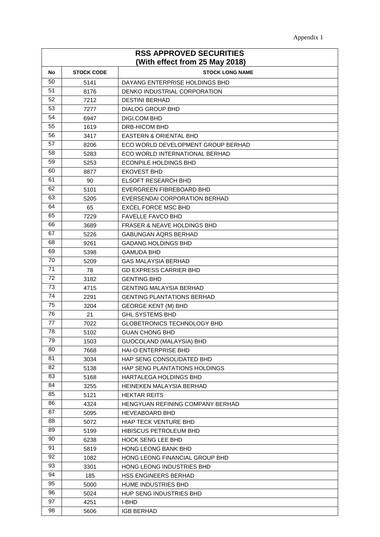| <b>RSS APPROVED SECURITIES</b><br>(With effect from 25 May 2018) |                   |                                        |  |
|------------------------------------------------------------------|-------------------|----------------------------------------|--|
| No                                                               | <b>STOCK CODE</b> | <b>STOCK LONG NAME</b>                 |  |
| 50                                                               | 5141              | DAYANG ENTERPRISE HOLDINGS BHD         |  |
| 51                                                               | 8176              | DENKO INDUSTRIAL CORPORATION           |  |
| 52                                                               | 7212              | <b>DESTINI BERHAD</b>                  |  |
| 53                                                               | 7277              | <b>DIALOG GROUP BHD</b>                |  |
| 54                                                               | 6947              | <b>DIGI.COM BHD</b>                    |  |
| 55                                                               | 1619              | DRB-HICOM BHD                          |  |
| 56                                                               | 3417              | <b>EASTERN &amp; ORIENTAL BHD</b>      |  |
| 57                                                               | 8206              | ECO WORLD DEVELOPMENT GROUP BERHAD     |  |
| 58                                                               | 5283              | ECO WORLD INTERNATIONAL BERHAD         |  |
| 59                                                               | 5253              | ECONPILE HOLDINGS BHD                  |  |
| 60                                                               | 8877              | EKOVEST BHD                            |  |
| 61                                                               | 90                | <b>ELSOFT RESEARCH BHD</b>             |  |
| 62                                                               | 5101              | EVERGREEN FIBREBOARD BHD               |  |
| 63                                                               | 5205              | EVERSENDAI CORPORATION BERHAD          |  |
| 64                                                               | 65                | EXCEL FORCE MSC BHD                    |  |
| 65                                                               | 7229              | <b>FAVELLE FAVCO BHD</b>               |  |
| 66                                                               | 3689              | <b>FRASER &amp; NEAVE HOLDINGS BHD</b> |  |
| 67                                                               | 5226              | GABUNGAN AQRS BERHAD                   |  |
| 68                                                               | 9261              | <b>GADANG HOLDINGS BHD</b>             |  |
| 69                                                               | 5398              | <b>GAMUDA BHD</b>                      |  |
| 70                                                               | 5209              | GAS MALAYSIA BERHAD                    |  |
| 71                                                               | 78                | <b>GD EXPRESS CARRIER BHD</b>          |  |
| 72                                                               | 3182              | <b>GENTING BHD</b>                     |  |
| 73                                                               | 4715              | <b>GENTING MALAYSIA BERHAD</b>         |  |
| 74                                                               | 2291              | <b>GENTING PLANTATIONS BERHAD</b>      |  |
| 75                                                               | 3204              | <b>GEORGE KENT (M) BHD</b>             |  |
| 76                                                               | 21                | <b>GHL SYSTEMS BHD</b>                 |  |
| 77                                                               | 7022              | GLOBETRONICS TECHNOLOGY BHD            |  |
| 78                                                               | 5102              | <b>GUAN CHONG BHD</b>                  |  |
| 79                                                               | 1503              | GUOCOLAND (MALAYSIA) BHD               |  |
| 80                                                               | 7668              | HAI-O ENTERPRISE BHD                   |  |
| 81                                                               | 3034              | HAP SENG CONSOLIDATED BHD              |  |
| 82                                                               | 5138              | HAP SENG PLANTATIONS HOLDINGS          |  |
| 83                                                               | 5168              | HARTALEGA HOLDINGS BHD                 |  |
| 84                                                               | 3255              | HEINEKEN MALAYSIA BERHAD               |  |
| 85                                                               | 5121              | <b>HEKTAR REITS</b>                    |  |
| 86                                                               | 4324              | HENGYUAN REFINING COMPANY BERHAD       |  |
| 87                                                               | 5095              | <b>HEVEABOARD BHD</b>                  |  |
| 88                                                               | 5072              | HIAP TECK VENTURE BHD                  |  |
| 89                                                               | 5199              | HIBISCUS PETROLEUM BHD                 |  |
| 90                                                               | 6238              | <b>HOCK SENG LEE BHD</b>               |  |
| 91                                                               | 5819              | HONG LEONG BANK BHD                    |  |
| 92                                                               | 1082              | HONG LEONG FINANCIAL GROUP BHD         |  |
| 93                                                               | 3301              | HONG LEONG INDUSTRIES BHD              |  |
| 94                                                               | 185               | HSS ENGINEERS BERHAD                   |  |
| 95                                                               | 5000              | HUME INDUSTRIES BHD                    |  |
| 96                                                               | 5024              | HUP SENG INDUSTRIES BHD                |  |
| 97                                                               | 4251              | I-BHD                                  |  |
| 98                                                               | 5606              | <b>IGB BERHAD</b>                      |  |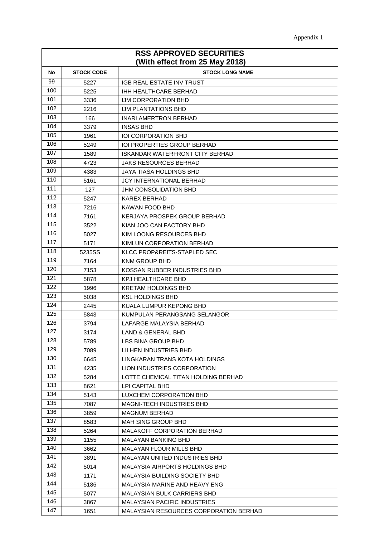| Appendix 1 |
|------------|
|            |

| <b>RSS APPROVED SECURITIES</b> |                   |                                          |  |
|--------------------------------|-------------------|------------------------------------------|--|
| (With effect from 25 May 2018) |                   |                                          |  |
| No                             | <b>STOCK CODE</b> | <b>STOCK LONG NAME</b>                   |  |
| 99                             | 5227              | <b>IGB REAL ESTATE INV TRUST</b>         |  |
| 100                            | 5225              | <b>IHH HEALTHCARE BERHAD</b>             |  |
| 101                            | 3336              | IJM CORPORATION BHD                      |  |
| 102                            | 2216              | IJM PLANTATIONS BHD                      |  |
| 103                            | 166               | INARI AMERTRON BERHAD                    |  |
| 104                            | 3379              | <b>INSAS BHD</b>                         |  |
| 105                            | 1961              | <b>IOI CORPORATION BHD</b>               |  |
| 106                            | 5249              | <b>IOI PROPERTIES GROUP BERHAD</b>       |  |
| 107                            | 1589              | ISKANDAR WATERFRONT CITY BERHAD          |  |
| 108                            | 4723              | JAKS RESOURCES BERHAD                    |  |
| 109                            | 4383              | JAYA TIASA HOLDINGS BHD                  |  |
| 110                            | 5161              | <b>JCY INTERNATIONAL BERHAD</b>          |  |
| 111                            | 127               | <b>JHM CONSOLIDATION BHD</b>             |  |
| 112                            | 5247              | KAREX BERHAD                             |  |
| 113                            | 7216              | KAWAN FOOD BHD                           |  |
| 114                            | 7161              | KERJAYA PROSPEK GROUP BERHAD             |  |
| 115                            | 3522              | KIAN JOO CAN FACTORY BHD                 |  |
| 116                            | 5027              | KIM LOONG RESOURCES BHD                  |  |
| 117                            | 5171              | KIMLUN CORPORATION BERHAD                |  |
| 118                            | 5235SS            | KLCC PROP&REITS-STAPLED SEC              |  |
| 119                            | 7164              | KNM GROUP BHD                            |  |
| 120                            | 7153              | KOSSAN RUBBER INDUSTRIES BHD             |  |
| 121<br>122                     | 5878              | KPJ HEALTHCARE BHD                       |  |
|                                | 1996              | KRETAM HOLDINGS BHD                      |  |
| 123<br>124                     | 5038              | <b>KSL HOLDINGS BHD</b>                  |  |
| 125                            | 2445              | KUALA LUMPUR KEPONG BHD                  |  |
| 126                            | 5843              | KUMPULAN PERANGSANG SELANGOR             |  |
| 127                            | 3794              | LAFARGE MALAYSIA BERHAD                  |  |
| 128                            | 3174<br>5789      | LAND & GENERAL BHD<br>LBS BINA GROUP BHD |  |
| 129                            | 7089              | LII HEN INDUSTRIES BHD                   |  |
| 130                            | 6645              | LINGKARAN TRANS KOTA HOLDINGS            |  |
| 131                            | 4235              | LION INDUSTRIES CORPORATION              |  |
| 132                            | 5284              | LOTTE CHEMICAL TITAN HOLDING BERHAD      |  |
| 133                            | 8621              | LPI CAPITAL BHD                          |  |
| 134                            | 5143              | LUXCHEM CORPORATION BHD                  |  |
| 135                            | 7087              | <b>MAGNI-TECH INDUSTRIES BHD</b>         |  |
| 136                            | 3859              | <b>MAGNUM BERHAD</b>                     |  |
| 137                            | 8583              | MAH SING GROUP BHD                       |  |
| 138                            | 5264              | MALAKOFF CORPORATION BERHAD              |  |
| 139                            | 1155              | MALAYAN BANKING BHD                      |  |
| 140                            | 3662              | MALAYAN FLOUR MILLS BHD                  |  |
| 141                            | 3891              | MALAYAN UNITED INDUSTRIES BHD            |  |
| 142                            | 5014              | MALAYSIA AIRPORTS HOLDINGS BHD           |  |
| 143                            | 1171              | MALAYSIA BUILDING SOCIETY BHD            |  |
| 144                            | 5186              | MALAYSIA MARINE AND HEAVY ENG            |  |
| 145                            | 5077              | MALAYSIAN BULK CARRIERS BHD              |  |
| 146                            | 3867              | MALAYSIAN PACIFIC INDUSTRIES             |  |
| 147                            | 1651              | MALAYSIAN RESOURCES CORPORATION BERHAD   |  |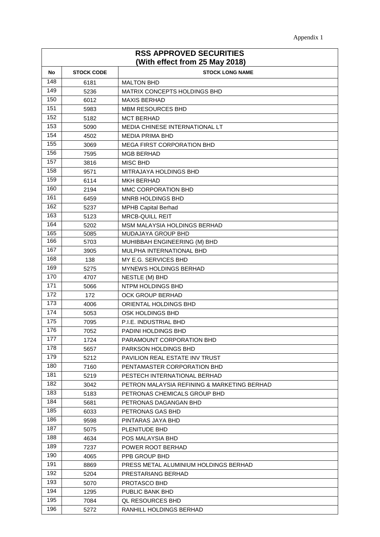| <b>RSS APPROVED SECURITIES</b><br>(With effect from 25 May 2018) |                   |                                             |
|------------------------------------------------------------------|-------------------|---------------------------------------------|
| No                                                               | <b>STOCK CODE</b> | <b>STOCK LONG NAME</b>                      |
| 148                                                              | 6181              | <b>MALTON BHD</b>                           |
| 149                                                              | 5236              | MATRIX CONCEPTS HOLDINGS BHD                |
| 150                                                              | 6012              | <b>MAXIS BERHAD</b>                         |
| 151                                                              | 5983              | MBM RESOURCES BHD                           |
| 152                                                              | 5182              | <b>MCT BERHAD</b>                           |
| 153                                                              | 5090              | MEDIA CHINESE INTERNATIONAL LT              |
| 154                                                              | 4502              | <b>MEDIA PRIMA BHD</b>                      |
| 155                                                              | 3069              | <b>MEGA FIRST CORPORATION BHD</b>           |
| 156                                                              | 7595              | MGB BERHAD                                  |
| 157                                                              | 3816              | <b>MISC BHD</b>                             |
| 158                                                              | 9571              | MITRAJAYA HOLDINGS BHD                      |
| 159                                                              | 6114              | <b>MKH BERHAD</b>                           |
| 160                                                              | 2194              | MMC CORPORATION BHD                         |
| 161                                                              | 6459              | MNRB HOLDINGS BHD                           |
| 162                                                              | 5237              | <b>MPHB Capital Berhad</b>                  |
| 163                                                              | 5123              | <b>MRCB-QUILL REIT</b>                      |
| 164                                                              | 5202              | <b>MSM MALAYSIA HOLDINGS BERHAD</b>         |
| 165                                                              | 5085              | MUDAJAYA GROUP BHD                          |
| 166                                                              | 5703              | MUHIBBAH ENGINEERING (M) BHD                |
| 167                                                              | 3905              | MULPHA INTERNATIONAL BHD                    |
| 168                                                              | 138               | MY E.G. SERVICES BHD                        |
| 169                                                              | 5275              | MYNEWS HOLDINGS BERHAD                      |
| 170                                                              | 4707              | NESTLE (M) BHD                              |
| 171                                                              | 5066              | NTPM HOLDINGS BHD                           |
| 172                                                              | 172               | <b>OCK GROUP BERHAD</b>                     |
| 173                                                              | 4006              | ORIENTAL HOLDINGS BHD                       |
| 174                                                              | 5053              | OSK HOLDINGS BHD                            |
| 175                                                              | 7095              | P.I.E. INDUSTRIAL BHD                       |
| 176                                                              | 7052              | PADINI HOLDINGS BHD                         |
| 177                                                              | 1724              | PARAMOUNT CORPORATION BHD                   |
| 178                                                              | 5657              | PARKSON HOLDINGS BHD                        |
| 179                                                              | 5212              | PAVILION REAL ESTATE INV TRUST              |
| 180                                                              | 7160              | PENTAMASTER CORPORATION BHD                 |
| 181                                                              | 5219              | PESTECH INTERNATIONAL BERHAD                |
| 182                                                              | 3042              | PETRON MALAYSIA REFINING & MARKETING BERHAD |
| 183                                                              | 5183              | PETRONAS CHEMICALS GROUP BHD                |
| 184                                                              | 5681              | PETRONAS DAGANGAN BHD                       |
| 185                                                              | 6033              | PETRONAS GAS BHD                            |
| 186                                                              | 9598              | PINTARAS JAYA BHD                           |
| 187                                                              | 5075              | PLENITUDE BHD                               |
| 188                                                              | 4634              | POS MALAYSIA BHD                            |
| 189                                                              | 7237              | POWER ROOT BERHAD                           |
| 190                                                              | 4065              | PPB GROUP BHD                               |
| 191                                                              | 8869              | PRESS METAL ALUMINIUM HOLDINGS BERHAD       |
| 192                                                              | 5204              | PRESTARIANG BERHAD                          |
| 193                                                              | 5070              | PROTASCO BHD                                |
| 194                                                              | 1295              | PUBLIC BANK BHD                             |
| 195                                                              | 7084              | <b>QL RESOURCES BHD</b>                     |
| 196                                                              | 5272              | RANHILL HOLDINGS BERHAD                     |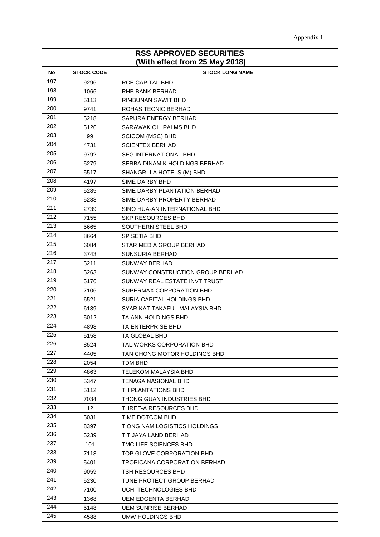| Appendix 1 |
|------------|
|            |

| <b>RSS APPROVED SECURITIES</b><br>(With effect from 25 May 2018) |                   |                                  |  |
|------------------------------------------------------------------|-------------------|----------------------------------|--|
| No                                                               | <b>STOCK CODE</b> | <b>STOCK LONG NAME</b>           |  |
| 197                                                              | 9296              | <b>RCE CAPITAL BHD</b>           |  |
| 198                                                              | 1066              | <b>RHB BANK BERHAD</b>           |  |
| 199                                                              | 5113              | RIMBUNAN SAWIT BHD               |  |
| 200                                                              | 9741              | ROHAS TECNIC BERHAD              |  |
| 201                                                              | 5218              | SAPURA ENERGY BERHAD             |  |
| 202                                                              | 5126              | SARAWAK OIL PALMS BHD            |  |
| 203                                                              | 99                | <b>SCICOM (MSC) BHD</b>          |  |
| 204                                                              | 4731              | <b>SCIENTEX BERHAD</b>           |  |
| 205                                                              | 9792              | <b>SEG INTERNATIONAL BHD</b>     |  |
| 206                                                              | 5279              | SERBA DINAMIK HOLDINGS BERHAD    |  |
| 207                                                              | 5517              | SHANGRI-LA HOTELS (M) BHD        |  |
| 208                                                              | 4197              | SIME DARBY BHD                   |  |
| 209                                                              | 5285              | SIME DARBY PLANTATION BERHAD     |  |
| 210                                                              | 5288              | SIME DARBY PROPERTY BERHAD       |  |
| 211                                                              | 2739              | SINO HUA-AN INTERNATIONAL BHD    |  |
| 212                                                              | 7155              | <b>SKP RESOURCES BHD</b>         |  |
| 213                                                              | 5665              | SOUTHERN STEEL BHD               |  |
| 214                                                              | 8664              | SP SETIA BHD                     |  |
| 215                                                              | 6084              | STAR MEDIA GROUP BERHAD          |  |
| 216                                                              | 3743              | SUNSURIA BERHAD                  |  |
| 217                                                              | 5211              | SUNWAY BERHAD                    |  |
| 218                                                              | 5263              | SUNWAY CONSTRUCTION GROUP BERHAD |  |
| 219                                                              | 5176              | SUNWAY REAL ESTATE INVT TRUST    |  |
| 220                                                              | 7106              | SUPERMAX CORPORATION BHD         |  |
| 221                                                              | 6521              | SURIA CAPITAL HOLDINGS BHD       |  |
| 222                                                              | 6139              | SYARIKAT TAKAFUL MALAYSIA BHD    |  |
| 223                                                              | 5012              | TA ANN HOLDINGS BHD              |  |
| 224                                                              | 4898              | TA ENTERPRISE BHD                |  |
| 225                                                              | 5158              | TA GLOBAL BHD                    |  |
| 226                                                              | 8524              | TALIWORKS CORPORATION BHD        |  |
| 227                                                              | 4405              | TAN CHONG MOTOR HOLDINGS BHD     |  |
| 228                                                              | 2054              | TDM BHD                          |  |
| 229                                                              | 4863              | <b>TELEKOM MALAYSIA BHD</b>      |  |
| 230                                                              | 5347              | <b>TENAGA NASIONAL BHD</b>       |  |
| 231                                                              | 5112              | TH PLANTATIONS BHD               |  |
| 232                                                              | 7034              | THONG GUAN INDUSTRIES BHD        |  |
| 233                                                              | 12                | THREE-A RESOURCES BHD            |  |
| 234                                                              | 5031              | TIME DOTCOM BHD                  |  |
| 235                                                              | 8397              | TIONG NAM LOGISTICS HOLDINGS     |  |
| 236                                                              | 5239              | TITIJAYA LAND BERHAD             |  |
| 237                                                              | 101               | TMC LIFE SCIENCES BHD            |  |
| 238                                                              | 7113              | TOP GLOVE CORPORATION BHD        |  |
| 239                                                              | 5401              | TROPICANA CORPORATION BERHAD     |  |
| 240                                                              | 9059              | TSH RESOURCES BHD                |  |
| 241                                                              | 5230              | TUNE PROTECT GROUP BERHAD        |  |
| 242                                                              | 7100              | UCHI TECHNOLOGIES BHD            |  |
| 243                                                              | 1368              | UEM EDGENTA BERHAD               |  |
| 244                                                              | 5148              | <b>UEM SUNRISE BERHAD</b>        |  |
| 245                                                              | 4588              | UMW HOLDINGS BHD                 |  |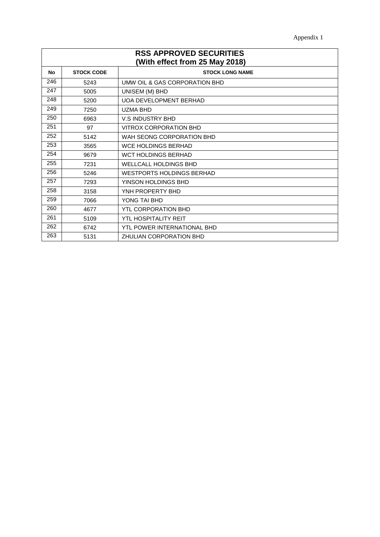| <b>RSS APPROVED SECURITIES</b><br>(With effect from 25 May 2018) |                   |                                  |
|------------------------------------------------------------------|-------------------|----------------------------------|
| No                                                               | <b>STOCK CODE</b> | <b>STOCK LONG NAME</b>           |
| 246                                                              | 5243              | UMW OIL & GAS CORPORATION BHD    |
| 247                                                              | 5005              | UNISEM (M) BHD                   |
| 248                                                              | 5200              | <b>UOA DEVELOPMENT BERHAD</b>    |
| 249                                                              | 7250              | <b>UZMA BHD</b>                  |
| 250                                                              | 6963              | <b>V.S INDUSTRY BHD</b>          |
| 251                                                              | 97                | <b>VITROX CORPORATION BHD</b>    |
| 252                                                              | 5142              | WAH SEONG CORPORATION BHD        |
| 253                                                              | 3565              | <b>WCE HOLDINGS BERHAD</b>       |
| 254                                                              | 9679              | <b>WCT HOLDINGS BERHAD</b>       |
| 255                                                              | 7231              | <b>WELLCALL HOLDINGS BHD</b>     |
| 256                                                              | 5246              | <b>WESTPORTS HOLDINGS BERHAD</b> |
| 257                                                              | 7293              | YINSON HOLDINGS BHD              |
| 258                                                              | 3158              | YNH PROPERTY BHD                 |
| 259                                                              | 7066              | YONG TAI BHD                     |
| 260                                                              | 4677              | <b>YTL CORPORATION BHD</b>       |
| 261                                                              | 5109              | YTL HOSPITALITY REIT             |
| 262                                                              | 6742              | YTL POWER INTERNATIONAL BHD      |
| 263                                                              | 5131              | <b>ZHULIAN CORPORATION BHD</b>   |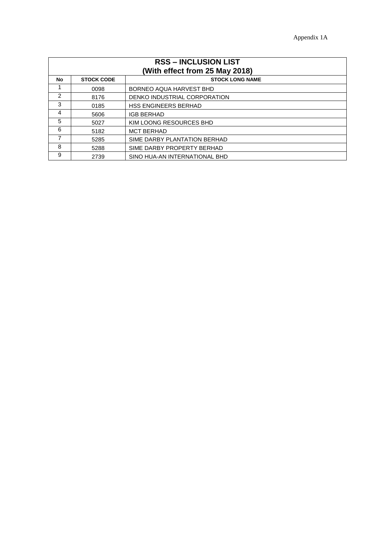| <b>RSS – INCLUSION LIST</b><br>(With effect from 25 May 2018) |                   |                               |  |
|---------------------------------------------------------------|-------------------|-------------------------------|--|
| <b>No</b>                                                     | <b>STOCK CODE</b> | <b>STOCK LONG NAME</b>        |  |
|                                                               | 0098              | BORNEO AQUA HARVEST BHD       |  |
| $\overline{2}$                                                | 8176              | DENKO INDUSTRIAL CORPORATION  |  |
| 3                                                             | 0185              | <b>HSS ENGINEERS BERHAD</b>   |  |
| 4                                                             | 5606              | <b>IGB BERHAD</b>             |  |
| 5                                                             | 5027              | KIM LOONG RESOURCES BHD       |  |
| 6                                                             | 5182              | <b>MCT BERHAD</b>             |  |
| 7                                                             | 5285              | SIME DARBY PLANTATION BERHAD  |  |
| 8                                                             | 5288              | SIME DARBY PROPERTY BERHAD    |  |
| 9                                                             | 2739              | SINO HUA-AN INTERNATIONAL BHD |  |